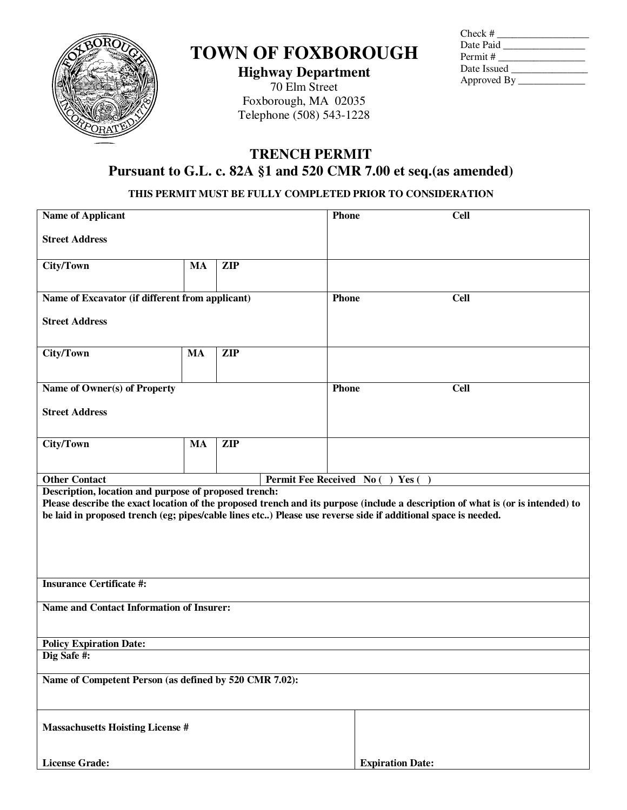

# **TOWN OF FOXBOROUGH**

**Highway Department** 70 Elm Street Foxborough, MA 02035 Telephone (508) 543-1228

| Check #       |  |
|---------------|--|
| Date Paid     |  |
| Permit #      |  |
| Date Issued   |  |
| Approved By _ |  |

## **TRENCH PERMIT Pursuant to G.L. c. 82A §1 and 520 CMR 7.00 et seq.(as amended)**

### **THIS PERMIT MUST BE FULLY COMPLETED PRIOR TO CONSIDERATION**

| <b>Name of Applicant</b>                                                                                                                                                                                                                                                                                  |           |            |                                  | Phone                   | <b>Cell</b> |  |
|-----------------------------------------------------------------------------------------------------------------------------------------------------------------------------------------------------------------------------------------------------------------------------------------------------------|-----------|------------|----------------------------------|-------------------------|-------------|--|
| <b>Street Address</b>                                                                                                                                                                                                                                                                                     |           |            |                                  |                         |             |  |
| <b>City/Town</b>                                                                                                                                                                                                                                                                                          | <b>MA</b> | <b>ZIP</b> |                                  |                         |             |  |
|                                                                                                                                                                                                                                                                                                           |           |            |                                  |                         |             |  |
| Name of Excavator (if different from applicant)                                                                                                                                                                                                                                                           |           |            |                                  | <b>Phone</b>            | <b>Cell</b> |  |
| <b>Street Address</b>                                                                                                                                                                                                                                                                                     |           |            |                                  |                         |             |  |
| <b>City/Town</b>                                                                                                                                                                                                                                                                                          | <b>MA</b> | <b>ZIP</b> |                                  |                         |             |  |
| Name of Owner(s) of Property                                                                                                                                                                                                                                                                              |           |            | <b>Phone</b>                     |                         | <b>Cell</b> |  |
|                                                                                                                                                                                                                                                                                                           |           |            |                                  |                         |             |  |
| <b>Street Address</b>                                                                                                                                                                                                                                                                                     |           |            |                                  |                         |             |  |
| City/Town                                                                                                                                                                                                                                                                                                 | <b>MA</b> | <b>ZIP</b> |                                  |                         |             |  |
|                                                                                                                                                                                                                                                                                                           |           |            |                                  |                         |             |  |
| <b>Other Contact</b>                                                                                                                                                                                                                                                                                      |           |            | Permit Fee Received No () Yes () |                         |             |  |
| Description, location and purpose of proposed trench:<br>Please describe the exact location of the proposed trench and its purpose (include a description of what is (or is intended) to<br>be laid in proposed trench (eg; pipes/cable lines etc) Please use reverse side if additional space is needed. |           |            |                                  |                         |             |  |
| <b>Insurance Certificate #:</b>                                                                                                                                                                                                                                                                           |           |            |                                  |                         |             |  |
| Name and Contact Information of Insurer:                                                                                                                                                                                                                                                                  |           |            |                                  |                         |             |  |
| <b>Policy Expiration Date:</b>                                                                                                                                                                                                                                                                            |           |            |                                  |                         |             |  |
| Dig Safe #:                                                                                                                                                                                                                                                                                               |           |            |                                  |                         |             |  |
| Name of Competent Person (as defined by 520 CMR 7.02):                                                                                                                                                                                                                                                    |           |            |                                  |                         |             |  |
| <b>Massachusetts Hoisting License #</b>                                                                                                                                                                                                                                                                   |           |            |                                  |                         |             |  |
| <b>License Grade:</b>                                                                                                                                                                                                                                                                                     |           |            |                                  | <b>Expiration Date:</b> |             |  |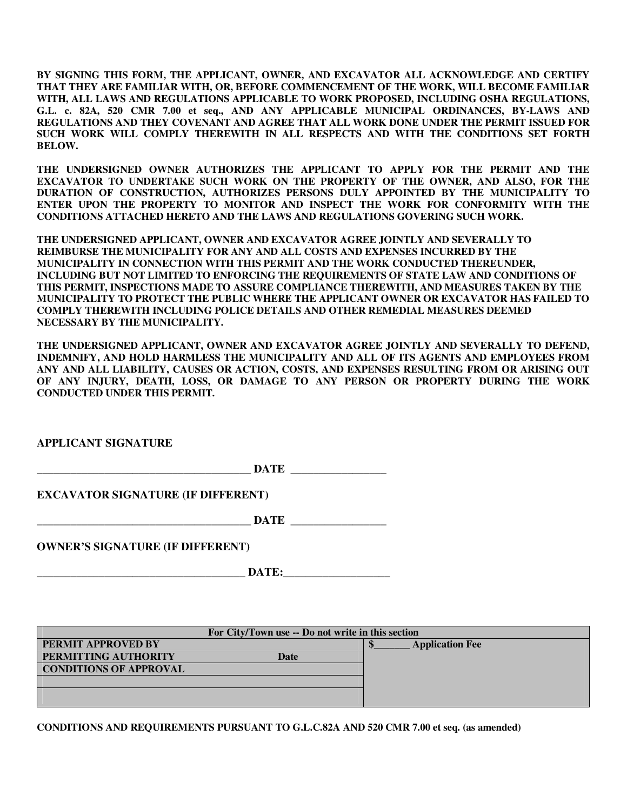**BY SIGNING THIS FORM, THE APPLICANT, OWNER, AND EXCAVATOR ALL ACKNOWLEDGE AND CERTIFY THAT THEY ARE FAMILIAR WITH, OR, BEFORE COMMENCEMENT OF THE WORK, WILL BECOME FAMILIAR WITH, ALL LAWS AND REGULATIONS APPLICABLE TO WORK PROPOSED, INCLUDING OSHA REGULATIONS, G.L. c. 82A, 520 CMR 7.00 et seq., AND ANY APPLICABLE MUNICIPAL ORDINANCES, BY-LAWS AND REGULATIONS AND THEY COVENANT AND AGREE THAT ALL WORK DONE UNDER THE PERMIT ISSUED FOR SUCH WORK WILL COMPLY THEREWITH IN ALL RESPECTS AND WITH THE CONDITIONS SET FORTH BELOW.** 

**THE UNDERSIGNED OWNER AUTHORIZES THE APPLICANT TO APPLY FOR THE PERMIT AND THE EXCAVATOR TO UNDERTAKE SUCH WORK ON THE PROPERTY OF THE OWNER, AND ALSO, FOR THE DURATION OF CONSTRUCTION, AUTHORIZES PERSONS DULY APPOINTED BY THE MUNICIPALITY TO ENTER UPON THE PROPERTY TO MONITOR AND INSPECT THE WORK FOR CONFORMITY WITH THE CONDITIONS ATTACHED HERETO AND THE LAWS AND REGULATIONS GOVERING SUCH WORK.** 

**THE UNDERSIGNED APPLICANT, OWNER AND EXCAVATOR AGREE JOINTLY AND SEVERALLY TO REIMBURSE THE MUNICIPALITY FOR ANY AND ALL COSTS AND EXPENSES INCURRED BY THE MUNICIPALITY IN CONNECTION WITH THIS PERMIT AND THE WORK CONDUCTED THEREUNDER, INCLUDING BUT NOT LIMITED TO ENFORCING THE REQUIREMENTS OF STATE LAW AND CONDITIONS OF THIS PERMIT, INSPECTIONS MADE TO ASSURE COMPLIANCE THEREWITH, AND MEASURES TAKEN BY THE MUNICIPALITY TO PROTECT THE PUBLIC WHERE THE APPLICANT OWNER OR EXCAVATOR HAS FAILED TO COMPLY THEREWITH INCLUDING POLICE DETAILS AND OTHER REMEDIAL MEASURES DEEMED NECESSARY BY THE MUNICIPALITY.** 

**THE UNDERSIGNED APPLICANT, OWNER AND EXCAVATOR AGREE JOINTLY AND SEVERALLY TO DEFEND, INDEMNIFY, AND HOLD HARMLESS THE MUNICIPALITY AND ALL OF ITS AGENTS AND EMPLOYEES FROM ANY AND ALL LIABILITY, CAUSES OR ACTION, COSTS, AND EXPENSES RESULTING FROM OR ARISING OUT OF ANY INJURY, DEATH, LOSS, OR DAMAGE TO ANY PERSON OR PROPERTY DURING THE WORK CONDUCTED UNDER THIS PERMIT.** 

**APPLICANT SIGNATURE** 

 $\bf{DATE}$ 

**EXCAVATOR SIGNATURE (IF DIFFERENT)**

**\_\_\_\_\_\_\_\_\_\_\_\_\_\_\_\_\_\_\_\_\_\_\_\_\_\_\_\_\_\_\_\_\_\_\_\_\_\_ DATE \_\_\_\_\_\_\_\_\_\_\_\_\_\_\_\_\_** 

**OWNER'S SIGNATURE (IF DIFFERENT)** 

**DATE:** 

| For City/Town use -- Do not write in this section |                        |  |  |  |  |  |
|---------------------------------------------------|------------------------|--|--|--|--|--|
| PERMIT APPROVED BY                                | <b>Application Fee</b> |  |  |  |  |  |
| PERMITTING AUTHORITY<br>Date                      |                        |  |  |  |  |  |
| <b>CONDITIONS OF APPROVAL</b>                     |                        |  |  |  |  |  |
|                                                   |                        |  |  |  |  |  |
|                                                   |                        |  |  |  |  |  |
|                                                   |                        |  |  |  |  |  |

**CONDITIONS AND REQUIREMENTS PURSUANT TO G.L.C.82A AND 520 CMR 7.00 et seq. (as amended)**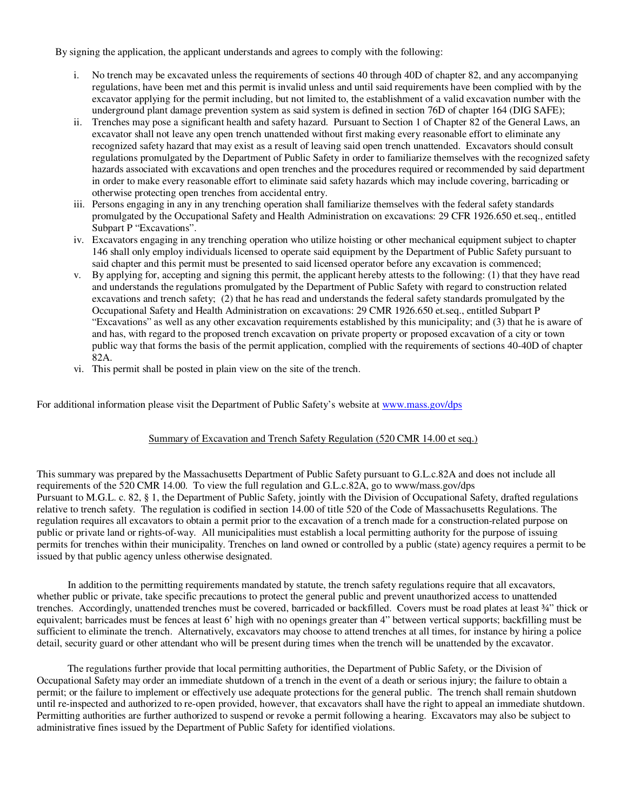By signing the application, the applicant understands and agrees to comply with the following:

- i. No trench may be excavated unless the requirements of sections 40 through 40D of chapter 82, and any accompanying regulations, have been met and this permit is invalid unless and until said requirements have been complied with by the excavator applying for the permit including, but not limited to, the establishment of a valid excavation number with the underground plant damage prevention system as said system is defined in section 76D of chapter 164 (DIG SAFE);
- ii. Trenches may pose a significant health and safety hazard. Pursuant to Section 1 of Chapter 82 of the General Laws, an excavator shall not leave any open trench unattended without first making every reasonable effort to eliminate any recognized safety hazard that may exist as a result of leaving said open trench unattended. Excavators should consult regulations promulgated by the Department of Public Safety in order to familiarize themselves with the recognized safety hazards associated with excavations and open trenches and the procedures required or recommended by said department in order to make every reasonable effort to eliminate said safety hazards which may include covering, barricading or otherwise protecting open trenches from accidental entry.
- iii. Persons engaging in any in any trenching operation shall familiarize themselves with the federal safety standards promulgated by the Occupational Safety and Health Administration on excavations: 29 CFR 1926.650 et.seq., entitled Subpart P "Excavations".
- iv. Excavators engaging in any trenching operation who utilize hoisting or other mechanical equipment subject to chapter 146 shall only employ individuals licensed to operate said equipment by the Department of Public Safety pursuant to said chapter and this permit must be presented to said licensed operator before any excavation is commenced;
- v. By applying for, accepting and signing this permit, the applicant hereby attests to the following: (1) that they have read and understands the regulations promulgated by the Department of Public Safety with regard to construction related excavations and trench safety; (2) that he has read and understands the federal safety standards promulgated by the Occupational Safety and Health Administration on excavations: 29 CMR 1926.650 et.seq., entitled Subpart P "Excavations" as well as any other excavation requirements established by this municipality; and (3) that he is aware of and has, with regard to the proposed trench excavation on private property or proposed excavation of a city or town public way that forms the basis of the permit application, complied with the requirements of sections 40-40D of chapter 82A.
- vi. This permit shall be posted in plain view on the site of the trench.

For additional information please visit the Department of Public Safety's website at www.mass.gov/dps

#### Summary of Excavation and Trench Safety Regulation (520 CMR 14.00 et seq.)

This summary was prepared by the Massachusetts Department of Public Safety pursuant to G.L.c.82A and does not include all requirements of the 520 CMR 14.00. To view the full regulation and G.L.c.82A, go to www/mass.gov/dps Pursuant to M.G.L. c. 82, § 1, the Department of Public Safety, jointly with the Division of Occupational Safety, drafted regulations relative to trench safety. The regulation is codified in section 14.00 of title 520 of the Code of Massachusetts Regulations. The regulation requires all excavators to obtain a permit prior to the excavation of a trench made for a construction-related purpose on public or private land or rights-of-way. All municipalities must establish a local permitting authority for the purpose of issuing permits for trenches within their municipality. Trenches on land owned or controlled by a public (state) agency requires a permit to be issued by that public agency unless otherwise designated.

 In addition to the permitting requirements mandated by statute, the trench safety regulations require that all excavators, whether public or private, take specific precautions to protect the general public and prevent unauthorized access to unattended trenches. Accordingly, unattended trenches must be covered, barricaded or backfilled. Covers must be road plates at least ¾" thick or equivalent; barricades must be fences at least 6' high with no openings greater than 4" between vertical supports; backfilling must be sufficient to eliminate the trench. Alternatively, excavators may choose to attend trenches at all times, for instance by hiring a police detail, security guard or other attendant who will be present during times when the trench will be unattended by the excavator.

 The regulations further provide that local permitting authorities, the Department of Public Safety, or the Division of Occupational Safety may order an immediate shutdown of a trench in the event of a death or serious injury; the failure to obtain a permit; or the failure to implement or effectively use adequate protections for the general public. The trench shall remain shutdown until re-inspected and authorized to re-open provided, however, that excavators shall have the right to appeal an immediate shutdown. Permitting authorities are further authorized to suspend or revoke a permit following a hearing. Excavators may also be subject to administrative fines issued by the Department of Public Safety for identified violations.